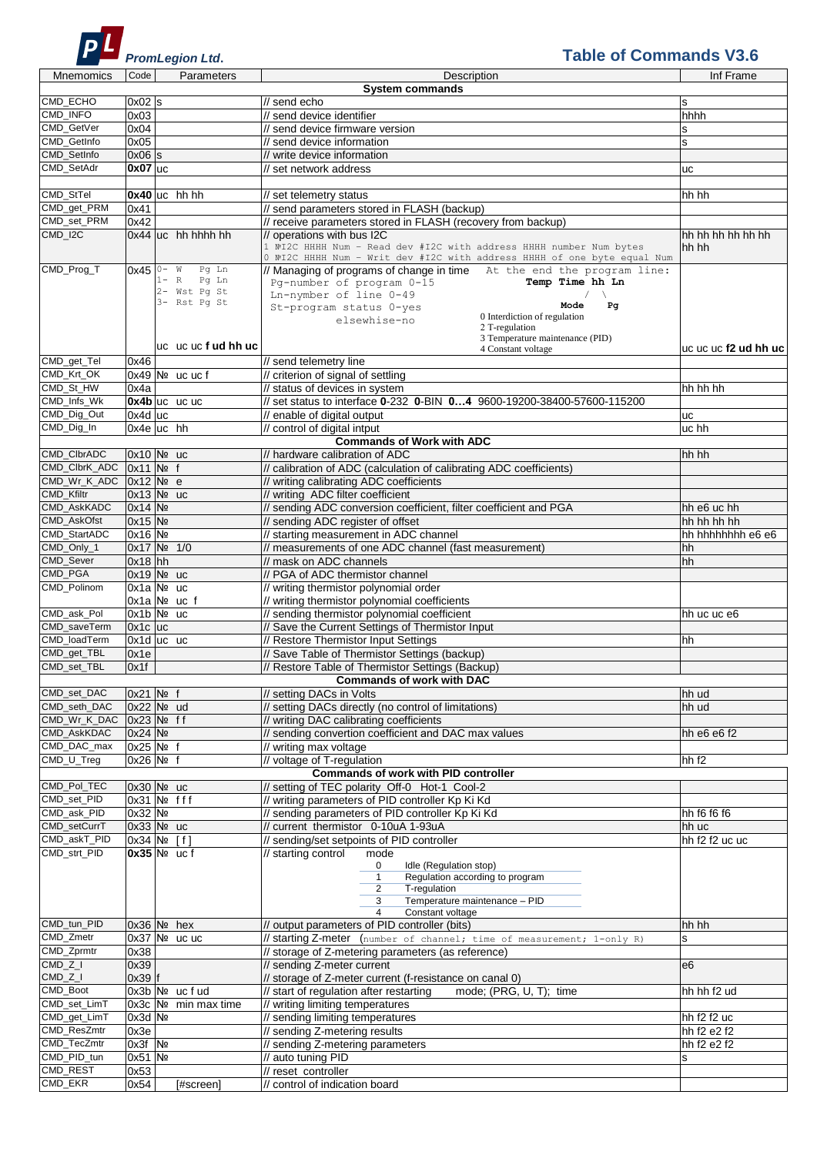

## **Table of Commands V3.6**

| <b>Mnemomics</b>  | Code        | Parameters                 | Description                                                              | Inf Frame            |
|-------------------|-------------|----------------------------|--------------------------------------------------------------------------|----------------------|
|                   |             |                            | System commands                                                          |                      |
| CMD ECHO          | $0x02$ s    |                            | // send echo                                                             | s                    |
| CMD_INFO          | 0x03        |                            | // send device identifier                                                | hhhh                 |
| CMD GetVer        | 0x04        |                            | // send device firmware version                                          |                      |
|                   |             |                            |                                                                          | $\mathbf s$          |
| CMD GetInfo       | 0x05        |                            | // send device information                                               | s                    |
| CMD SetInfo       | $0x06$ s    |                            | // write device information                                              |                      |
| CMD_SetAdr        | $0x07$ uc   |                            | // set network address                                                   | uc                   |
|                   |             |                            |                                                                          |                      |
| CMD_StTel         |             | $0x40$ uc hh hh            | // set telemetry status                                                  | hh hh                |
|                   |             |                            |                                                                          |                      |
| CMD_get_PRM       | 0x41        |                            | // send parameters stored in FLASH (backup)                              |                      |
| CMD_set_PRM       | 0x42        |                            | // receive parameters stored in FLASH (recovery from backup)             |                      |
| $CMD_$ I2C        |             | $0x44$ $uc$ hh hhhh hh     | operations with bus I2C                                                  | hh hh hh hh hh hh    |
|                   |             |                            | 1 NºI2C HHHH Num - Read dev #I2C with address HHHH number Num bytes      | hh hh                |
|                   |             |                            | 0 NºI2C HHHH Num - Writ dev #I2C with address HHHH of one byte equal Num |                      |
| CMD_Prog_T        |             | $0x450 - w$<br>Pg Ln       | // Managing of programs of change in time At the end the program line:   |                      |
|                   |             | $1 - R$<br>Pg Ln           | Pg-number of program 0-15<br>Temp Time hh Ln                             |                      |
|                   |             | 2- Wst Pq St               | Ln-nymber of line 0-49                                                   |                      |
|                   |             | 3- Rst Pq St               | Mode<br>Pg                                                               |                      |
|                   |             |                            | St-program status 0-yes<br>0 Interdiction of regulation                  |                      |
|                   |             |                            | elsewhise-no<br>2 T-regulation                                           |                      |
|                   |             |                            | 3 Temperature maintenance (PID)                                          |                      |
|                   |             | ucucucfudhhuc              | 4 Constant voltage                                                       | uc uc uc f2 ud hh uc |
|                   |             |                            |                                                                          |                      |
| CMD_get_Tel       | 0x46        |                            | // send telemetry line                                                   |                      |
| CMD_Krt_OK        |             | $0x49$ Nº uc uc f          | // criterion of signal of settling                                       |                      |
| CMD_St_HW         | 0x4a        |                            | // status of devices in system                                           | hh hh hh             |
| CMD_Infs_Wk       |             | 0x4b uc uc uc              | // set status to interface 0-232 0-BIN 04 9600-19200-38400-57600-115200  |                      |
|                   |             |                            |                                                                          |                      |
| CMD_Dig_Out       | $0x4d$ uc   |                            | // enable of digital output                                              | uc                   |
| CMD_Dig_In        |             | $0x4e$ uc hh               | // control of digital intput                                             | uc hh                |
|                   |             |                            | <b>Commands of Work with ADC</b>                                         |                      |
| CMD_ClbrADC       |             | 0x10 Nº uc                 | // hardware calibration of ADC                                           | hh hh                |
|                   |             |                            |                                                                          |                      |
| CMD_ClbrK_ADC     |             | $0x11$ No f                | // calibration of ADC (calculation of calibrating ADC coefficients)      |                      |
| CMD_Wr_K_ADC      |             | $0x12$ Nº e                | // writing calibrating ADC coefficients                                  |                      |
| <b>CMD Kfiltr</b> |             | $0x13$ Nº uc               | // writing ADC filter coefficient                                        |                      |
| CMD_AskKADC       | 0x14 No     |                            | // sending ADC conversion coefficient, filter coefficient and PGA        | hh e6 uc hh          |
|                   |             |                            |                                                                          |                      |
| CMD_AskOfst       | 0x15 No     |                            | // sending ADC register of offset                                        | hh hh hh hh          |
| CMD_StartADC      | 0x16 Nº     |                            | // starting measurement in ADC channel                                   | hh hhhhhhh e6 e6     |
| CMD_Only_1        |             | 0x17 Nº 1/0                | // measurements of one ADC channel (fast measurement)                    | hh                   |
| CMD Sever         | $0x18$ hh   |                            | // mask on ADC channels                                                  | hh                   |
|                   |             |                            |                                                                          |                      |
| <b>CMD PGA</b>    |             | $0x19$ N <sup>o</sup> uc   | // PGA of ADC thermistor channel                                         |                      |
| CMD_Polinom       |             | $0x1a$ Nº uc               | // writing thermistor polynomial order                                   |                      |
|                   |             | $0x1a$ N <sup>o</sup> uc f | // writing thermistor polynomial coefficients                            |                      |
| CMD ask Pol       |             | 0x1b Nº uc                 | // sending thermistor polynomial coefficient                             | hh uc uc e6          |
| CMD saveTerm      |             |                            |                                                                          |                      |
|                   | $0x1c$ $uc$ |                            | // Save the Current Settings of Thermistor Input                         |                      |
| CMD_loadTerm      |             | $0x1d$ uc uc               | // Restore Thermistor Input Settings                                     | hh                   |
| CMD_get_TBL       | 0x1e        |                            | // Save Table of Thermistor Settings (backup)                            |                      |
| CMD set TBL       | 0x1f        |                            | // Restore Table of Thermistor Settings (Backup)                         |                      |
|                   |             |                            |                                                                          |                      |
|                   |             |                            | <b>Commands of work with DAC</b>                                         |                      |
| CMD_set_DAC       | 0x21 Nº f   |                            | // setting DACs in Volts                                                 | hh ud                |
| CMD seth DAC      |             | 0x22 Nº ud                 | // setting DACs directly (no control of limitations)                     | hh ud                |
| CMD_Wr_K_DAC      |             | 0x23 Nº ff                 | // writing DAC calibrating coefficients                                  |                      |
| CMD_AskKDAC       | $0x24$ No   |                            | // sending convertion coefficient and DAC max values                     | hh e6 e6 f2          |
|                   |             |                            |                                                                          |                      |
| CMD_DAC_max       |             | $0x25$ No f                | // writing max voltage                                                   |                      |
| CMD_U_Treg        | $0x26$ Nº f |                            | // voltage of T-regulation                                               | hh f <sub>2</sub>    |
|                   |             |                            | <b>Commands of work with PID controller</b>                              |                      |
| CMD Pol TEC       |             | 0x30 Nº uc                 | // setting of TEC polarity Off-0 Hot-1 Cool-2                            |                      |
| CMD_set_PID       |             | $0x31$ No fff              |                                                                          |                      |
|                   |             |                            | // writing parameters of PID controller Kp Ki Kd                         |                      |
| CMD_ask_PID       | 0x32 Nº     |                            | // sending parameters of PID controller Kp Ki Kd                         | hh f6 f6 f6          |
| CMD setCurrT      |             | 0x33 Nº uc                 | // current_thermistor 0-10uA 1-93uA                                      | hh uc                |
| CMD_askT_PID      |             | 0x34 Nº [f]                | // sending/set setpoints of PID controller                               | hh f2 f2 uc uc       |
| CMD_strt_PID      |             | $0x35$ No uc f             | // starting control<br>mode                                              |                      |
|                   |             |                            |                                                                          |                      |
|                   |             |                            | Idle (Regulation stop)<br>0                                              |                      |
|                   |             |                            | Regulation according to program<br>$\mathbf{1}$                          |                      |
|                   |             |                            | T-regulation<br>2                                                        |                      |
|                   |             |                            | Temperature maintenance - PID<br>3                                       |                      |
|                   |             |                            | $\overline{4}$<br>Constant voltage                                       |                      |
| CMD_tun_PID       |             | $0x36$ Nº hex              | // output parameters of PID controller (bits)                            | hh hh                |
| CMD_Zmetr         |             | $0x37$ Nº uc uc            | // starting Z-meter [number of channel; time of measurement; 1-only R)   | s                    |
|                   |             |                            |                                                                          |                      |
| CMD_Zprmtr        | 0x38        |                            | // storage of Z-metering parameters (as reference)                       |                      |
| $CMD_zZ_l$        | 0x39        |                            | // sending Z-meter current                                               | e <sub>6</sub>       |
| $CMD_Z$           | $0x39$ f    |                            | // storage of Z-meter current (f-resistance on canal 0)                  |                      |
| CMD_Boot          |             | 0x3b Nº ucfud              | mode; (PRG, U, T); time<br>// start of regulation after restarting       | hh hh f2 ud          |
|                   |             |                            |                                                                          |                      |
| CMD_set_LimT      |             | $0x3c$ Nº min max time     | // writing limiting temperatures                                         |                      |
| CMD_get_LimT      | 0x3d Nº     |                            | // sending limiting temperatures                                         | hh f2 f2 uc          |
| CMD_ResZmtr       | 0x3e        |                            | // sending Z-metering results                                            | hh f2 e2 f2          |
| CMD_TecZmtr       |             |                            |                                                                          |                      |
|                   | 0x3f Nº     |                            | // sending Z-metering parameters                                         | hh f2 e2 f2          |
| CMD_PID_tun       | $0x51$ No   |                            | // auto tuning PID                                                       | s                    |
| CMD_REST          | 0x53        |                            | // reset_controller                                                      |                      |
| CMD_EKR           | 0x54        | [#screen]                  | // control of indication board                                           |                      |
|                   |             |                            |                                                                          |                      |